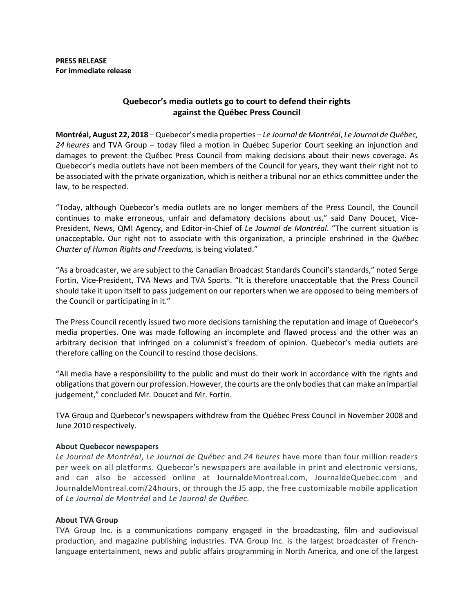## **Quebecor's media outlets go to court to defend their rights against the Québec Press Council**

**Montréal, August 22, 2018** – Quebecor's media properties – *Le Journal de Montréal*, *Le Journal de Québec, 24 heures* and TVA Group – today filed a motion in Québec Superior Court seeking an injunction and damages to prevent the Québec Press Council from making decisions about their news coverage. As Quebecor's media outlets have not been members of the Council for years, they want their right not to be associated with the private organization, which is neither a tribunal nor an ethics committee under the law, to be respected.

"Today, although Quebecor's media outlets are no longer members of the Press Council, the Council continues to make erroneous, unfair and defamatory decisions about us," said Dany Doucet, Vice-President, News, QMI Agency, and Editor-in-Chief of *Le Journal de Montréal*. "The current situation is unacceptable. Our right not to associate with this organization, a principle enshrined in the *Québec Charter of Human Rights and Freedoms,* is being violated."

"As a broadcaster, we are subject to the [Canadian Broadcast Standards Council](http://www.cbsc.ca/)'s standards," noted Serge Fortin, Vice-President, TVA News and TVA Sports. "It is therefore unacceptable that the Press Council should take it upon itself to pass judgement on our reporters when we are opposed to being members of the Council or participating in it."

The Press Council recently issued two more decisions tarnishing the reputation and image of Quebecor's media properties. One was made following an incomplete and flawed process and the other was an arbitrary decision that infringed on a columnist's freedom of opinion. Quebecor's media outlets are therefore calling on the Council to rescind those decisions.

"All media have a responsibility to the public and must do their work in accordance with the rights and obligations that govern our profession. However, the courts are the only bodies that can make an impartial judgement," concluded Mr. Doucet and Mr. Fortin.

TVA Group and Quebecor's newspapers withdrew from the Québec Press Council in November 2008 and June 2010 respectively.

## **About Quebecor newspapers**

*Le Journal de Montréal*, *Le Journal de Québec* and *24 heures* have more than four million readers per week on all platforms. Quebecor's newspapers are available in print and electronic versions, and can also be accessed online at JournaldeMontreal.com, JournaldeQuebec.com and JournaldeMontreal.com/24hours, or through the J5 app, the free customizable mobile application of *Le Journal de Montréal* and *Le Journal de Québec.* 

## **About TVA Group**

TVA Group Inc. is a communications company engaged in the broadcasting, film and audiovisual production, and magazine publishing industries. TVA Group Inc. is the largest broadcaster of Frenchlanguage entertainment, news and public affairs programming in North America, and one of the largest